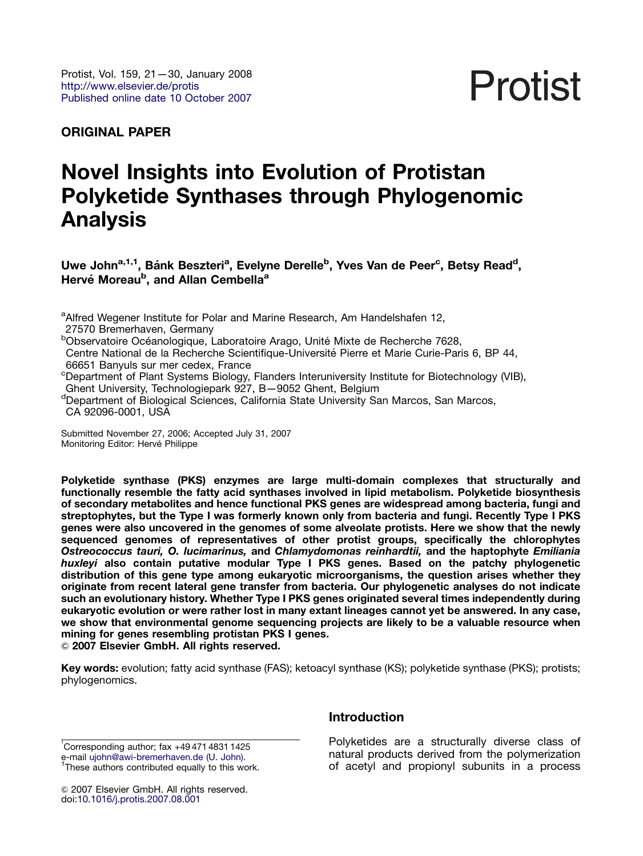# Protist

# ORIGINAL PAPER

# Novel Insights into Evolution of Protistan Polyketide Synthases through Phylogenomic Analysis

Uwe John<sup>a,1,1</sup>, Bánk Beszteri<sup>a</sup>, Evelyne Derelle<sup>b</sup>, Yves Van de Peer<sup>c</sup>, Betsy Read<sup>d</sup>, Hervé Moreau<sup>b</sup>, and Allan Cembella<sup>a</sup>

<sup>a</sup>Alfred Wegener Institute for Polar and Marine Research, Am Handelshafen 12,

27570 Bremerhaven, Germany

- <sup>b</sup>Observatoire Océanologique, Laboratoire Arago, Unité Mixte de Recherche 7628, Centre National de la Recherche Scientifique-Université Pierre et Marie Curie-Paris 6, BP 44, 66651 Banyuls sur mer cedex, France
- c Department of Plant Systems Biology, Flanders Interuniversity Institute for Biotechnology (VIB), Ghent University, Technologiepark 927, B—9052 Ghent, Belgium
- <sup>d</sup>Department of Biological Sciences, California State University San Marcos, San Marcos, CA 92096-0001, USA

Submitted November 27, 2006; Accepted July 31, 2007 Monitoring Editor: Hervé Philippe

Polyketide synthase (PKS) enzymes are large multi-domain complexes that structurally and functionally resemble the fatty acid synthases involved in lipid metabolism. Polyketide biosynthesis of secondary metabolites and hence functional PKS genes are widespread among bacteria, fungi and streptophytes, but the Type I was formerly known only from bacteria and fungi. Recently Type I PKS genes were also uncovered in the genomes of some alveolate protists. Here we show that the newly sequenced genomes of representatives of other protist groups, specifically the chlorophytes Ostreococcus tauri, O. lucimarinus, and Chlamydomonas reinhardtii, and the haptophyte Emiliania huxleyi also contain putative modular Type I PKS genes. Based on the patchy phylogenetic distribution of this gene type among eukaryotic microorganisms, the question arises whether they originate from recent lateral gene transfer from bacteria. Our phylogenetic analyses do not indicate such an evolutionary history. Whether Type I PKS genes originated several times independently during eukaryotic evolution or were rather lost in many extant lineages cannot yet be answered. In any case, we show that environmental genome sequencing projects are likely to be a valuable resource when mining for genes resembling protistan PKS I genes.

© 2007 Elsevier GmbH. All rights reserved.

Key words: evolution; fatty acid synthase (FAS); ketoacyl synthase (KS); polyketide synthase (PKS); protists; phylogenomics.

1 Corresponding author; fax +49 471 4831 1425 e-mail [ujohn@awi-bremerhaven.de \(U. John\).](mailto:ujohn@awi-bremerhaven.de) <sup>1</sup>

# Introduction

Polyketides are a structurally diverse class of natural products derived from the polymerization of acetyl and propionyl subunits in a process

<sup>&</sup>lt;sup>1</sup>These authors contributed equally to this work.

 $©$  2007 Elsevier GmbH. All rights reserved. doi:[10.1016/j.protis.2007.08.001](dx.doi.org/10.1016/j.protis.2007.08.001)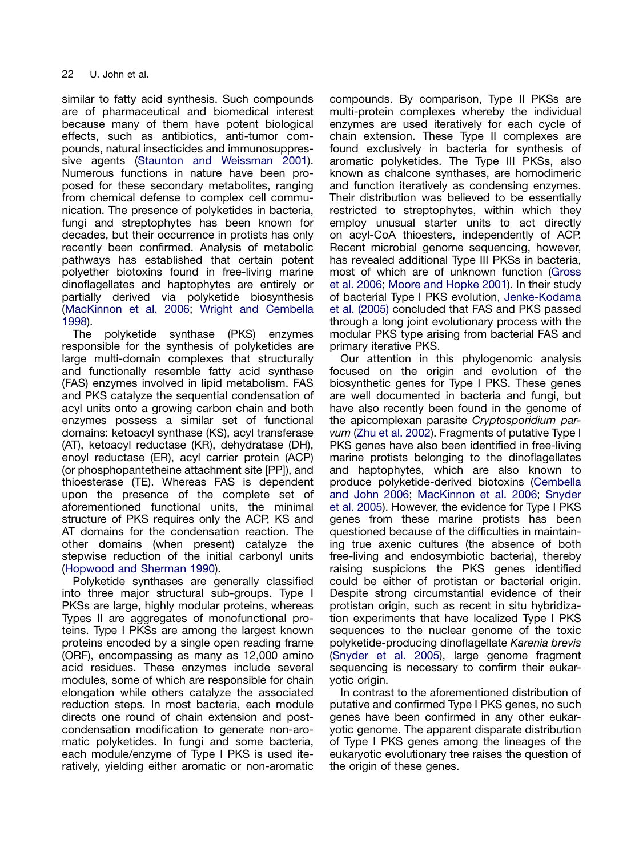#### 22 U. John et al.

similar to fatty acid synthesis. Such compounds are of pharmaceutical and biomedical interest because many of them have potent biological effects, such as antibiotics, anti-tumor compounds, natural insecticides and immunosuppressive agents ([Staunton and Weissman 2001\)](#page-9-0). Numerous functions in nature have been proposed for these secondary metabolites, ranging from chemical defense to complex cell communication. The presence of polyketides in bacteria, fungi and streptophytes has been known for decades, but their occurrence in protists has only recently been confirmed. Analysis of metabolic pathways has established that certain potent polyether biotoxins found in free-living marine dinoflagellates and haptophytes are entirely or partially derived via polyketide biosynthesis [\(MacKinnon et al. 2006;](#page-9-0) [Wright and Cembella](#page-9-0) [1998](#page-9-0)).

The polyketide synthase (PKS) enzymes responsible for the synthesis of polyketides are large multi-domain complexes that structurally and functionally resemble fatty acid synthase (FAS) enzymes involved in lipid metabolism. FAS and PKS catalyze the sequential condensation of acyl units onto a growing carbon chain and both enzymes possess a similar set of functional domains: ketoacyl synthase (KS), acyl transferase (AT), ketoacyl reductase (KR), dehydratase (DH), enoyl reductase (ER), acyl carrier protein (ACP) (or phosphopantetheine attachment site [PP]), and thioesterase (TE). Whereas FAS is dependent upon the presence of the complete set of aforementioned functional units, the minimal structure of PKS requires only the ACP, KS and AT domains for the condensation reaction. The other domains (when present) catalyze the stepwise reduction of the initial carbonyl units [\(Hopwood and Sherman 1990](#page-9-0)).

Polyketide synthases are generally classified into three major structural sub-groups. Type I PKSs are large, highly modular proteins, whereas Types II are aggregates of monofunctional proteins. Type I PKSs are among the largest known proteins encoded by a single open reading frame (ORF), encompassing as many as 12,000 amino acid residues. These enzymes include several modules, some of which are responsible for chain elongation while others catalyze the associated reduction steps. In most bacteria, each module directs one round of chain extension and postcondensation modification to generate non-aromatic polyketides. In fungi and some bacteria, each module/enzyme of Type I PKS is used iteratively, yielding either aromatic or non-aromatic compounds. By comparison, Type II PKSs are multi-protein complexes whereby the individual enzymes are used iteratively for each cycle of chain extension. These Type II complexes are found exclusively in bacteria for synthesis of aromatic polyketides. The Type III PKSs, also known as chalcone synthases, are homodimeric and function iteratively as condensing enzymes. Their distribution was believed to be essentially restricted to streptophytes, within which they employ unusual starter units to act directly on acyl-CoA thioesters, independently of ACP. Recent microbial genome sequencing, however, has revealed additional Type III PKSs in bacteria, most of which are of unknown function ([Gross](#page-8-0) [et al. 2006;](#page-8-0) [Moore and Hopke 2001\)](#page-9-0). In their study of bacterial Type I PKS evolution, [Jenke-Kodama](#page-9-0) [et al. \(2005\)](#page-9-0) concluded that FAS and PKS passed through a long joint evolutionary process with the modular PKS type arising from bacterial FAS and primary iterative PKS.

Our attention in this phylogenomic analysis focused on the origin and evolution of the biosynthetic genes for Type I PKS. These genes are well documented in bacteria and fungi, but have also recently been found in the genome of the apicomplexan parasite Cryptosporidium parvum [\(Zhu et al. 2002](#page-9-0)). Fragments of putative Type I PKS genes have also been identified in free-living marine protists belonging to the dinoflagellates and haptophytes, which are also known to produce polyketide-derived biotoxins [\(Cembella](#page-8-0) [and John 2006](#page-8-0); [MacKinnon et al. 2006;](#page-9-0) [Snyder](#page-9-0) [et al. 2005](#page-9-0)). However, the evidence for Type I PKS genes from these marine protists has been questioned because of the difficulties in maintaining true axenic cultures (the absence of both free-living and endosymbiotic bacteria), thereby raising suspicions the PKS genes identified could be either of protistan or bacterial origin. Despite strong circumstantial evidence of their protistan origin, such as recent in situ hybridization experiments that have localized Type I PKS sequences to the nuclear genome of the toxic polyketide-producing dinoflagellate Karenia brevis [\(Snyder et al. 2005](#page-9-0)), large genome fragment sequencing is necessary to confirm their eukaryotic origin.

In contrast to the aforementioned distribution of putative and confirmed Type I PKS genes, no such genes have been confirmed in any other eukaryotic genome. The apparent disparate distribution of Type I PKS genes among the lineages of the eukaryotic evolutionary tree raises the question of the origin of these genes.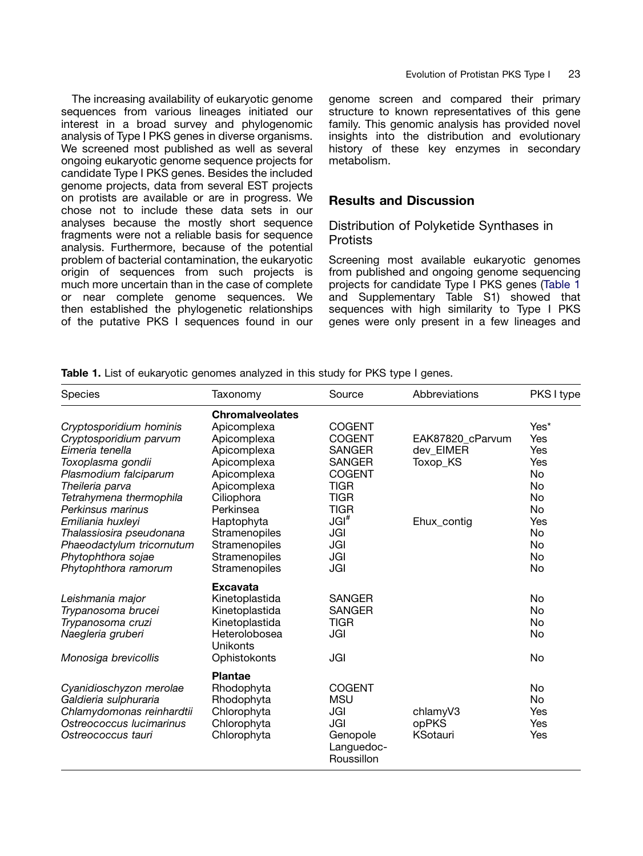<span id="page-2-0"></span>The increasing availability of eukaryotic genome sequences from various lineages initiated our interest in a broad survey and phylogenomic analysis of Type I PKS genes in diverse organisms. We screened most published as well as several ongoing eukaryotic genome sequence projects for candidate Type I PKS genes. Besides the included genome projects, data from several EST projects on protists are available or are in progress. We chose not to include these data sets in our analyses because the mostly short sequence fragments were not a reliable basis for sequence analysis. Furthermore, because of the potential problem of bacterial contamination, the eukaryotic origin of sequences from such projects is much more uncertain than in the case of complete or near complete genome sequences. We then established the phylogenetic relationships of the putative PKS I sequences found in our genome screen and compared their primary structure to known representatives of this gene family. This genomic analysis has provided novel insights into the distribution and evolutionary history of these key enzymes in secondary metabolism.

### Results and Discussion

#### Distribution of Polyketide Synthases in **Protists**

Screening most available eukaryotic genomes from published and ongoing genome sequencing projects for candidate Type I PKS genes (Table 1 and Supplementary Table S1) showed that sequences with high similarity to Type I PKS genes were only present in a few lineages and

| <b>Species</b>            | Taxonomy                  | Source                               | Abbreviations    | PKS I type |
|---------------------------|---------------------------|--------------------------------------|------------------|------------|
|                           | <b>Chromalveolates</b>    |                                      |                  |            |
| Cryptosporidium hominis   | Apicomplexa               | <b>COGENT</b>                        |                  | Yes*       |
| Cryptosporidium parvum    | Apicomplexa               | <b>COGENT</b>                        | EAK87820_cParvum | Yes        |
| Eimeria tenella           | Apicomplexa               | <b>SANGER</b>                        | dev EIMER        | Yes        |
| Toxoplasma gondii         | Apicomplexa               | <b>SANGER</b>                        | Toxop KS         | Yes        |
| Plasmodium falciparum     | Apicomplexa               | <b>COGENT</b>                        |                  | No         |
| Theileria parva           | Apicomplexa               | <b>TIGR</b>                          |                  | No         |
| Tetrahymena thermophila   | Ciliophora                | <b>TIGR</b>                          |                  | No         |
| Perkinsus marinus         | Perkinsea                 | <b>TIGR</b>                          |                  | No         |
| Emiliania huxleyi         | Haptophyta                | $JGI^*$                              | Ehux_contig      | Yes        |
| Thalassiosira pseudonana  | Stramenopiles             | JGI                                  |                  | No         |
| Phaeodactylum tricornutum | Stramenopiles             | JGI                                  |                  | No         |
| Phytophthora sojae        | Stramenopiles             | JGI                                  |                  | No         |
| Phytophthora ramorum      | Stramenopiles             | JGI                                  |                  | No         |
|                           | <b>Excavata</b>           |                                      |                  |            |
| Leishmania major          | Kinetoplastida            | <b>SANGER</b>                        |                  | <b>No</b>  |
| Trypanosoma brucei        | Kinetoplastida            | <b>SANGER</b>                        |                  | No         |
| Trypanosoma cruzi         | Kinetoplastida            | TIGR                                 |                  | No         |
| Naegleria gruberi         | Heterolobosea<br>Unikonts | JGI                                  |                  | No         |
| Monosiga brevicollis      | Ophistokonts              | JGI                                  |                  | No         |
|                           | <b>Plantae</b>            |                                      |                  |            |
| Cyanidioschyzon merolae   | Rhodophyta                | <b>COGENT</b>                        |                  | No         |
| Galdieria sulphuraria     | Rhodophyta                | <b>MSU</b>                           |                  | No         |
| Chlamydomonas reinhardtii | Chlorophyta               | JGI                                  | chlamyV3         | Yes        |
| Ostreococcus lucimarinus  | Chlorophyta               | JGI                                  | opPKS            | Yes        |
| Ostreococcus tauri        | Chlorophyta               | Genopole<br>Languedoc-<br>Roussillon | KSotauri         | Yes        |

**Table 1.** List of eukaryotic genomes analyzed in this study for PKS type I genes.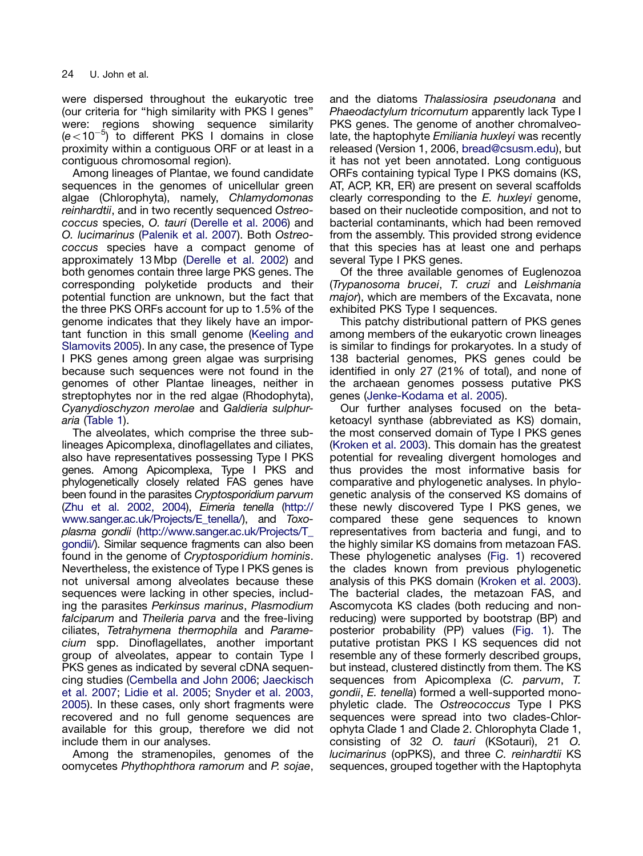were dispersed throughout the eukaryotic tree (our criteria for ''high similarity with PKS I genes'' were: regions showing sequence similarity  $(e<10^{-5})$  to different PKS I domains in close proximity within a contiguous ORF or at least in a contiguous chromosomal region).

Among lineages of Plantae, we found candidate sequences in the genomes of unicellular green algae (Chlorophyta), namely, Chlamydomonas reinhardtii, and in two recently sequenced Ostreococcus species, O. tauri [\(Derelle et al. 2006](#page-8-0)) and O. lucimarinus [\(Palenik et al. 2007\)](#page-9-0). Both Ostreococcus species have a compact genome of approximately 13 Mbp [\(Derelle et al. 2002\)](#page-8-0) and both genomes contain three large PKS genes. The corresponding polyketide products and their potential function are unknown, but the fact that the three PKS ORFs account for up to 1.5% of the genome indicates that they likely have an important function in this small genome [\(Keeling and](#page-9-0) [Slamovits 2005\)](#page-9-0). In any case, the presence of Type I PKS genes among green algae was surprising because such sequences were not found in the genomes of other Plantae lineages, neither in streptophytes nor in the red algae (Rhodophyta), Cyanydioschyzon merolae and Galdieria sulphuraria [\(Table 1](#page-2-0)).

The alveolates, which comprise the three sublineages Apicomplexa, dinoflagellates and ciliates, also have representatives possessing Type I PKS genes. Among Apicomplexa, Type I PKS and phylogenetically closely related FAS genes have been found in the parasites Cryptosporidium parvum [\(Zhu et al. 2002, 2004](#page-9-0)), Eimeria tenella ([http://](http://www.sanger.ac.uk/Projects/E_tenella/) [www.sanger.ac.uk/Projects/E\\_tenella/](http://www.sanger.ac.uk/Projects/E_tenella/)), and Toxoplasma gondii [\(http://www.sanger.ac.uk/Projects/T\\_](http://www.sanger.ac.uk/Projects/T_gondii/) [gondii/\)](http://www.sanger.ac.uk/Projects/T_gondii/). Similar sequence fragments can also been found in the genome of Cryptosporidium hominis. Nevertheless, the existence of Type I PKS genes is not universal among alveolates because these sequences were lacking in other species, including the parasites Perkinsus marinus, Plasmodium falciparum and Theileria parva and the free-living ciliates, Tetrahymena thermophila and Paramecium spp. Dinoflagellates, another important group of alveolates, appear to contain Type I PKS genes as indicated by several cDNA sequencing studies ([Cembella and John 2006;](#page-8-0) [Jaeckisch](#page-9-0) [et al. 2007](#page-9-0); [Lidie et al. 2005;](#page-9-0) [Snyder et al. 2003,](#page-9-0) [2005](#page-9-0)). In these cases, only short fragments were recovered and no full genome sequences are available for this group, therefore we did not include them in our analyses.

Among the stramenopiles, genomes of the oomycetes Phythophthora ramorum and P. sojae, and the diatoms Thalassiosira pseudonana and Phaeodactylum tricornutum apparently lack Type I PKS genes. The genome of another chromalveolate, the haptophyte Emiliania huxleyi was recently released (Version 1, 2006, [bread@csusm.edu\)](mailto:bread@csusm.edu), but it has not yet been annotated. Long contiguous ORFs containing typical Type I PKS domains (KS, AT, ACP, KR, ER) are present on several scaffolds clearly corresponding to the E. huxleyi genome, based on their nucleotide composition, and not to bacterial contaminants, which had been removed from the assembly. This provided strong evidence that this species has at least one and perhaps several Type I PKS genes.

Of the three available genomes of Euglenozoa (Trypanosoma brucei, T. cruzi and Leishmania major), which are members of the Excavata, none exhibited PKS Type I sequences.

This patchy distributional pattern of PKS genes among members of the eukaryotic crown lineages is similar to findings for prokaryotes. In a study of 138 bacterial genomes, PKS genes could be identified in only 27 (21% of total), and none of the archaean genomes possess putative PKS genes ([Jenke-Kodama et al. 2005\)](#page-9-0).

Our further analyses focused on the betaketoacyl synthase (abbreviated as KS) domain, the most conserved domain of Type I PKS genes [\(Kroken et al. 2003\)](#page-9-0). This domain has the greatest potential for revealing divergent homologes and thus provides the most informative basis for comparative and phylogenetic analyses. In phylogenetic analysis of the conserved KS domains of these newly discovered Type I PKS genes, we compared these gene sequences to known representatives from bacteria and fungi, and to the highly similar KS domains from metazoan FAS. These phylogenetic analyses [\(Fig. 1](#page-4-0)) recovered the clades known from previous phylogenetic analysis of this PKS domain [\(Kroken et al. 2003\)](#page-9-0). The bacterial clades, the metazoan FAS, and Ascomycota KS clades (both reducing and nonreducing) were supported by bootstrap (BP) and posterior probability (PP) values ([Fig. 1](#page-4-0)). The putative protistan PKS I KS sequences did not resemble any of these formerly described groups, but instead, clustered distinctly from them. The KS sequences from Apicomplexa (C. parvum, T. gondii, E. tenella) formed a well-supported monophyletic clade. The Ostreococcus Type I PKS sequences were spread into two clades-Chlorophyta Clade 1 and Clade 2. Chlorophyta Clade 1, consisting of 32 O. tauri (KSotauri), 21 O. lucimarinus (opPKS), and three C. reinhardtii KS sequences, grouped together with the Haptophyta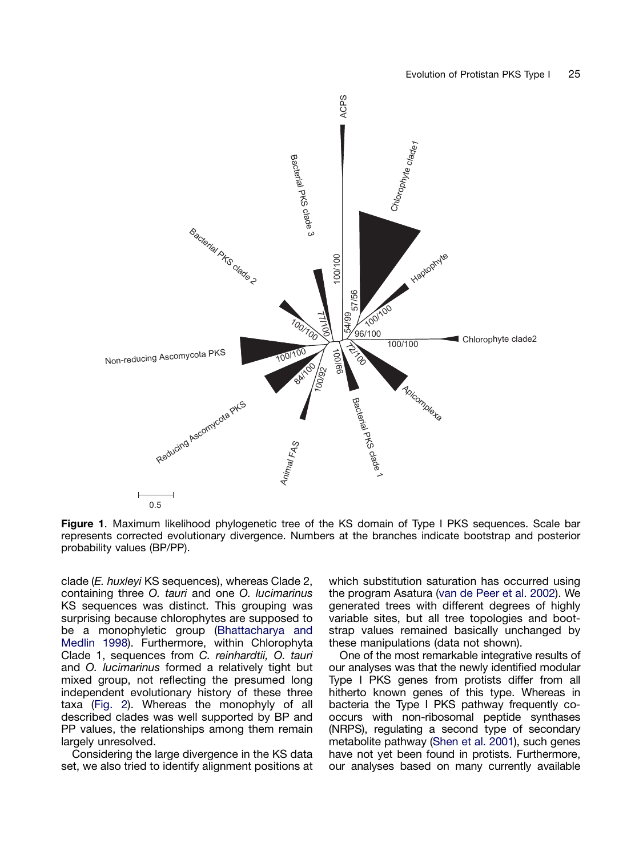<span id="page-4-0"></span>

Figure 1. Maximum likelihood phylogenetic tree of the KS domain of Type I PKS sequences. Scale bar represents corrected evolutionary divergence. Numbers at the branches indicate bootstrap and posterior probability values (BP/PP).

clade (E. huxleyi KS sequences), whereas Clade 2, containing three O. tauri and one O. lucimarinus KS sequences was distinct. This grouping was surprising because chlorophytes are supposed to be a monophyletic group [\(Bhattacharya and](#page-8-0) [Medlin 1998](#page-8-0)). Furthermore, within Chlorophyta Clade 1, sequences from C. reinhardtii, O. tauri and O. lucimarinus formed a relatively tight but mixed group, not reflecting the presumed long independent evolutionary history of these three taxa [\(Fig. 2](#page-5-0)). Whereas the monophyly of all described clades was well supported by BP and PP values, the relationships among them remain largely unresolved.

Considering the large divergence in the KS data set, we also tried to identify alignment positions at which substitution saturation has occurred using the program Asatura ([van de Peer et al. 2002](#page-9-0)). We generated trees with different degrees of highly variable sites, but all tree topologies and bootstrap values remained basically unchanged by these manipulations (data not shown).

One of the most remarkable integrative results of our analyses was that the newly identified modular Type I PKS genes from protists differ from all hitherto known genes of this type. Whereas in bacteria the Type I PKS pathway frequently cooccurs with non-ribosomal peptide synthases (NRPS), regulating a second type of secondary metabolite pathway [\(Shen et al. 2001](#page-9-0)), such genes have not yet been found in protists. Furthermore, our analyses based on many currently available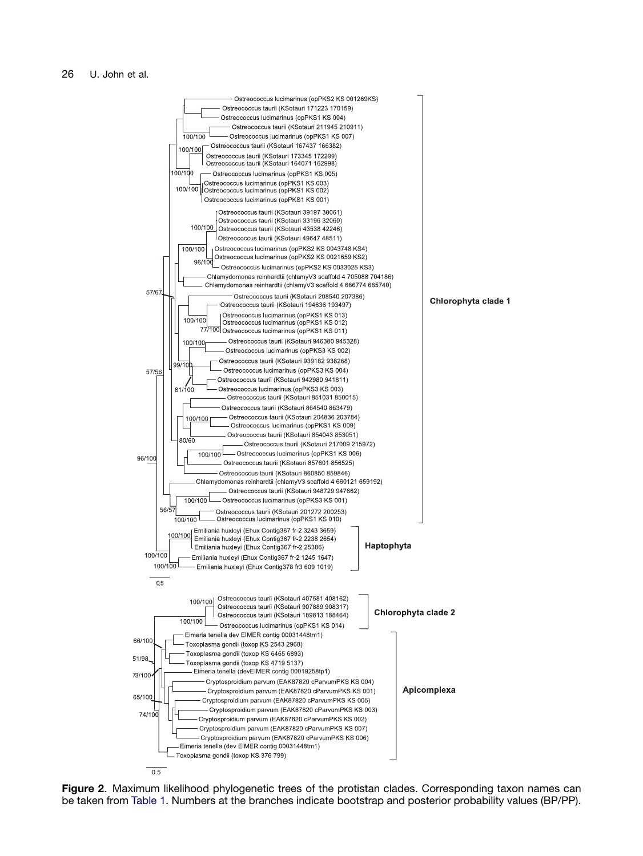<span id="page-5-0"></span>

Figure 2. Maximum likelihood phylogenetic trees of the protistan clades. Corresponding taxon names can be taken from [Table 1.](#page-2-0) Numbers at the branches indicate bootstrap and posterior probability values (BP/PP).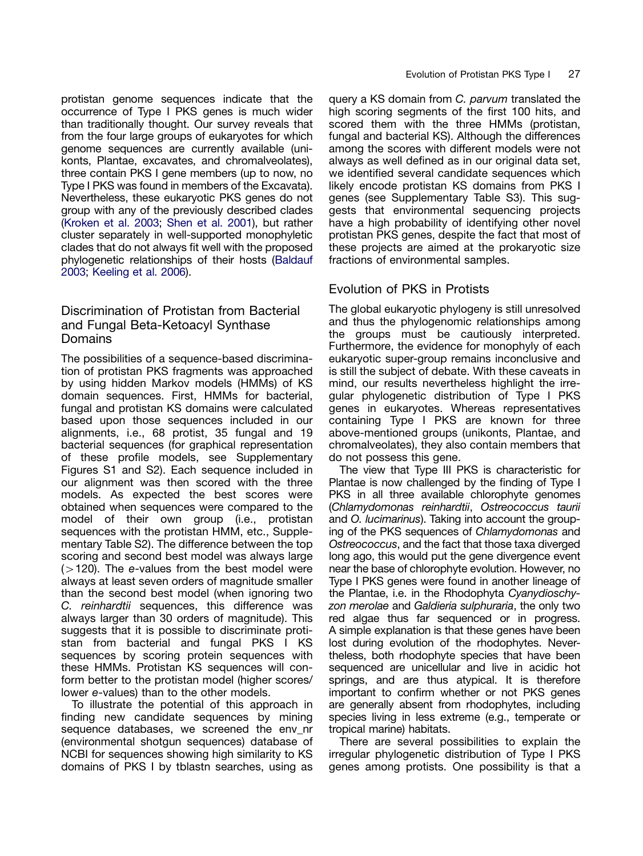protistan genome sequences indicate that the occurrence of Type I PKS genes is much wider than traditionally thought. Our survey reveals that from the four large groups of eukaryotes for which genome sequences are currently available (unikonts, Plantae, excavates, and chromalveolates), three contain PKS I gene members (up to now, no Type I PKS was found in members of the Excavata). Nevertheless, these eukaryotic PKS genes do not group with any of the previously described clades [\(Kroken et al. 2003](#page-9-0); [Shen et al. 2001\)](#page-9-0), but rather cluster separately in well-supported monophyletic clades that do not always fit well with the proposed phylogenetic relationships of their hosts ([Baldauf](#page-8-0) [2003](#page-8-0); [Keeling et al. 2006\)](#page-9-0).

### Discrimination of Protistan from Bacterial and Fungal Beta-Ketoacyl Synthase Domains

The possibilities of a sequence-based discrimination of protistan PKS fragments was approached by using hidden Markov models (HMMs) of KS domain sequences. First, HMMs for bacterial, fungal and protistan KS domains were calculated based upon those sequences included in our alignments, i.e., 68 protist, 35 fungal and 19 bacterial sequences (for graphical representation of these profile models, see Supplementary Figures S1 and S2). Each sequence included in our alignment was then scored with the three models. As expected the best scores were obtained when sequences were compared to the model of their own group (i.e., protistan sequences with the protistan HMM, etc., Supplementary Table S2). The difference between the top scoring and second best model was always large  $(>120)$ . The e-values from the best model were always at least seven orders of magnitude smaller than the second best model (when ignoring two C. reinhardtii sequences, this difference was always larger than 30 orders of magnitude). This suggests that it is possible to discriminate protistan from bacterial and fungal PKS I KS sequences by scoring protein sequences with these HMMs. Protistan KS sequences will conform better to the protistan model (higher scores/ lower e-values) than to the other models.

To illustrate the potential of this approach in finding new candidate sequences by mining sequence databases, we screened the env nr (environmental shotgun sequences) database of NCBI for sequences showing high similarity to KS domains of PKS I by tblastn searches, using as

query a KS domain from C. parvum translated the high scoring segments of the first 100 hits, and scored them with the three HMMs (protistan, fungal and bacterial KS). Although the differences among the scores with different models were not always as well defined as in our original data set, we identified several candidate sequences which likely encode protistan KS domains from PKS I genes (see Supplementary Table S3). This suggests that environmental sequencing projects have a high probability of identifying other novel protistan PKS genes, despite the fact that most of these projects are aimed at the prokaryotic size fractions of environmental samples.

### Evolution of PKS in Protists

The global eukaryotic phylogeny is still unresolved and thus the phylogenomic relationships among the groups must be cautiously interpreted. Furthermore, the evidence for monophyly of each eukaryotic super-group remains inconclusive and is still the subject of debate. With these caveats in mind, our results nevertheless highlight the irregular phylogenetic distribution of Type I PKS genes in eukaryotes. Whereas representatives containing Type I PKS are known for three above-mentioned groups (unikonts, Plantae, and chromalveolates), they also contain members that do not possess this gene.

The view that Type III PKS is characteristic for Plantae is now challenged by the finding of Type I PKS in all three available chlorophyte genomes (Chlamydomonas reinhardtii, Ostreococcus taurii and O. lucimarinus). Taking into account the grouping of the PKS sequences of Chlamydomonas and Ostreococcus, and the fact that those taxa diverged long ago, this would put the gene divergence event near the base of chlorophyte evolution. However, no Type I PKS genes were found in another lineage of the Plantae, i.e. in the Rhodophyta Cyanydioschyzon merolae and Galdieria sulphuraria, the only two red algae thus far sequenced or in progress. A simple explanation is that these genes have been lost during evolution of the rhodophytes. Nevertheless, both rhodophyte species that have been sequenced are unicellular and live in acidic hot springs, and are thus atypical. It is therefore important to confirm whether or not PKS genes are generally absent from rhodophytes, including species living in less extreme (e.g., temperate or tropical marine) habitats.

There are several possibilities to explain the irregular phylogenetic distribution of Type I PKS genes among protists. One possibility is that a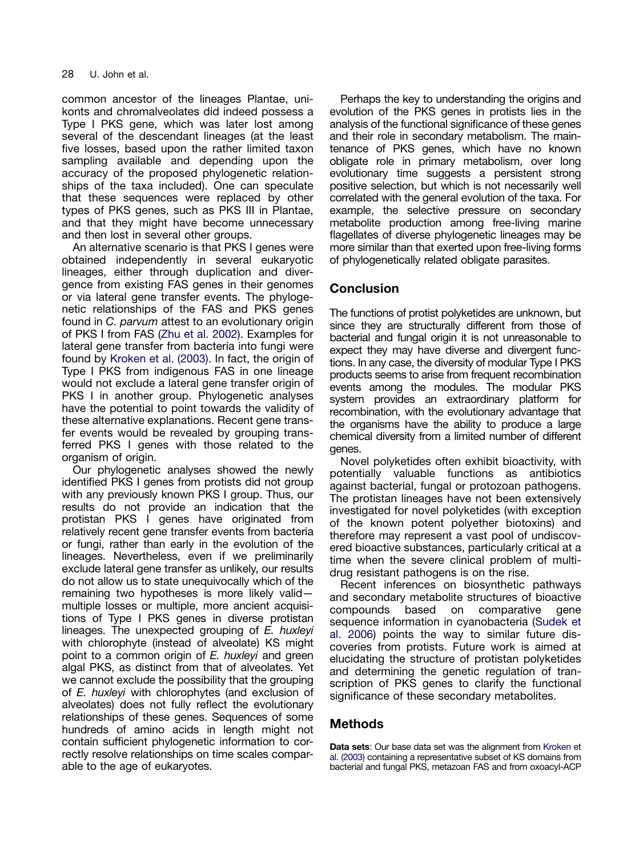#### 28 U. John et al.

common ancestor of the lineages Plantae, unikonts and chromalveolates did indeed possess a Type I PKS gene, which was later lost among several of the descendant lineages (at the least five losses, based upon the rather limited taxon sampling available and depending upon the accuracy of the proposed phylogenetic relationships of the taxa included). One can speculate that these sequences were replaced by other types of PKS genes, such as PKS III in Plantae, and that they might have become unnecessary and then lost in several other groups.

An alternative scenario is that PKS I genes were obtained independently in several eukaryotic lineages, either through duplication and divergence from existing FAS genes in their genomes or via lateral gene transfer events. The phylogenetic relationships of the FAS and PKS genes found in C. parvum attest to an evolutionary origin of PKS I from FAS [\(Zhu et al. 2002\)](#page-9-0). Examples for lateral gene transfer from bacteria into fungi were found by [Kroken et al. \(2003\)](#page-9-0). In fact, the origin of Type I PKS from indigenous FAS in one lineage would not exclude a lateral gene transfer origin of PKS I in another group. Phylogenetic analyses have the potential to point towards the validity of these alternative explanations. Recent gene transfer events would be revealed by grouping transferred PKS I genes with those related to the organism of origin.

Our phylogenetic analyses showed the newly identified PKS I genes from protists did not group with any previously known PKS I group. Thus, our results do not provide an indication that the protistan PKS I genes have originated from relatively recent gene transfer events from bacteria or fungi, rather than early in the evolution of the lineages. Nevertheless, even if we preliminarily exclude lateral gene transfer as unlikely, our results do not allow us to state unequivocally which of the remaining two hypotheses is more likely valid multiple losses or multiple, more ancient acquisitions of Type I PKS genes in diverse protistan lineages. The unexpected grouping of E. huxleyi with chlorophyte (instead of alveolate) KS might point to a common origin of E. huxleyi and green algal PKS, as distinct from that of alveolates. Yet we cannot exclude the possibility that the grouping of E. huxleyi with chlorophytes (and exclusion of alveolates) does not fully reflect the evolutionary relationships of these genes. Sequences of some hundreds of amino acids in length might not contain sufficient phylogenetic information to correctly resolve relationships on time scales comparable to the age of eukaryotes.

Perhaps the key to understanding the origins and evolution of the PKS genes in protists lies in the analysis of the functional significance of these genes and their role in secondary metabolism. The maintenance of PKS genes, which have no known obligate role in primary metabolism, over long evolutionary time suggests a persistent strong positive selection, but which is not necessarily well correlated with the general evolution of the taxa. For example, the selective pressure on secondary metabolite production among free-living marine flagellates of diverse phylogenetic lineages may be more similar than that exerted upon free-living forms of phylogenetically related obligate parasites.

# **Conclusion**

The functions of protist polyketides are unknown, but since they are structurally different from those of bacterial and fungal origin it is not unreasonable to expect they may have diverse and divergent functions. In any case, the diversity of modular Type I PKS products seems to arise from frequent recombination events among the modules. The modular PKS system provides an extraordinary platform for recombination, with the evolutionary advantage that the organisms have the ability to produce a large chemical diversity from a limited number of different genes.

Novel polyketides often exhibit bioactivity, with potentially valuable functions as antibiotics against bacterial, fungal or protozoan pathogens. The protistan lineages have not been extensively investigated for novel polyketides (with exception of the known potent polyether biotoxins) and therefore may represent a vast pool of undiscovered bioactive substances, particularly critical at a time when the severe clinical problem of multidrug resistant pathogens is on the rise.

Recent inferences on biosynthetic pathways and secondary metabolite structures of bioactive compounds based on comparative gene sequence information in cyanobacteria ([Sudek et](#page-9-0) [al. 2006\)](#page-9-0) points the way to similar future discoveries from protists. Future work is aimed at elucidating the structure of protistan polyketides and determining the genetic regulation of transcription of PKS genes to clarify the functional significance of these secondary metabolites.

# Methods

Data sets: Our base data set was the alignment from [Kroken et](#page-9-0) [al. \(2003\)](#page-9-0) containing a representative subset of KS domains from bacterial and fungal PKS, metazoan FAS and from oxoacyl-ACP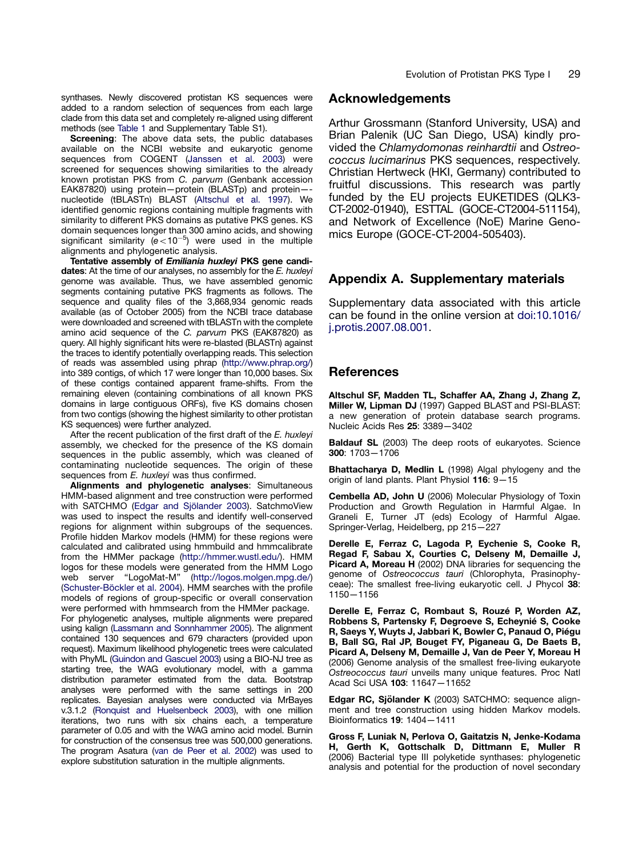<span id="page-8-0"></span>synthases. Newly discovered protistan KS sequences were added to a random selection of sequences from each large clade from this data set and completely re-aligned using different methods (see [Table 1](#page-2-0) and Supplementary Table S1).

Screening: The above data sets, the public databases available on the NCBI website and eukaryotic genome sequences from COGENT [\(Janssen et al. 2003](#page-9-0)) were screened for sequences showing similarities to the already known protistan PKS from C. parvum (Genbank accession EAK87820) using protein—protein (BLASTp) and protein— nucleotide (tBLASTn) BLAST (Altschul et al. 1997). We identified genomic regions containing multiple fragments with similarity to different PKS domains as putative PKS genes. KS domain sequences longer than 300 amino acids, and showing significant similarity ( $e$  < 10<sup>-5</sup>) were used in the multiple alignments and phylogenetic analysis.

Tentative assembly of Emiliania huxleyi PKS gene candidates: At the time of our analyses, no assembly for the E. huxleyi genome was available. Thus, we have assembled genomic segments containing putative PKS fragments as follows. The sequence and quality files of the 3,868,934 genomic reads available (as of October 2005) from the NCBI trace database were downloaded and screened with tBLASTn with the complete amino acid sequence of the C. parvum PKS (EAK87820) as query. All highly significant hits were re-blasted (BLASTn) against the traces to identify potentially overlapping reads. This selection of reads was assembled using phrap ([http://www.phrap.org/\)](http://www.phrap.org/) into 389 contigs, of which 17 were longer than 10,000 bases. Six of these contigs contained apparent frame-shifts. From the remaining eleven (containing combinations of all known PKS domains in large contiguous ORFs), five KS domains chosen from two contigs (showing the highest similarity to other protistan KS sequences) were further analyzed.

After the recent publication of the first draft of the E. huxleyi assembly, we checked for the presence of the KS domain sequences in the public assembly, which was cleaned of contaminating nucleotide sequences. The origin of these sequences from E. huxleyi was thus confirmed.

Alignments and phylogenetic analyses: Simultaneous HMM-based alignment and tree construction were performed with SATCHMO (Edgar and Sjölander 2003). SatchmoView was used to inspect the results and identify well-conserved regions for alignment within subgroups of the sequences. Profile hidden Markov models (HMM) for these regions were calculated and calibrated using hmmbuild and hmmcalibrate from the HMMer package (<http://hmmer.wustl.edu/>). HMM logos for these models were generated from the HMM Logo web server "LogoMat-M" (http://logos.molgen.mpg.de/) [\(http://logos.molgen.mpg.de/\)](http://logos.molgen.mpg.de/) (Schuster-Bö[ckler et al. 2004\)](#page-9-0). HMM searches with the profile models of regions of group-specific or overall conservation were performed with hmmsearch from the HMMer package. For phylogenetic analyses, multiple alignments were prepared using kalign ([Lassmann and Sonnhammer 2005](#page-9-0)). The alignment contained 130 sequences and 679 characters (provided upon request). Maximum likelihood phylogenetic trees were calculated with PhyML ([Guindon and Gascuel 2003\)](#page-9-0) using a BIO-NJ tree as starting tree, the WAG evolutionary model, with a gamma distribution parameter estimated from the data. Bootstrap analyses were performed with the same settings in 200 replicates. Bayesian analyses were conducted via MrBayes v.3.1.2 [\(Ronquist and Huelsenbeck 2003\)](#page-9-0), with one million iterations, two runs with six chains each, a temperature parameter of 0.05 and with the WAG amino acid model. Burnin for construction of the consensus tree was 500,000 generations. The program Asatura [\(van de Peer et al. 2002\)](#page-9-0) was used to explore substitution saturation in the multiple alignments.

#### Acknowledgements

Arthur Grossmann (Stanford University, USA) and Brian Palenik (UC San Diego, USA) kindly provided the Chlamydomonas reinhardtii and Ostreococcus lucimarinus PKS sequences, respectively. Christian Hertweck (HKI, Germany) contributed to fruitful discussions. This research was partly funded by the EU projects EUKETIDES (QLK3- CT-2002-01940), ESTTAL (GOCE-CT2004-511154), and Network of Excellence (NoE) Marine Genomics Europe (GOCE-CT-2004-505403).

#### Appendix A. Supplementary materials

Supplementary data associated with this article can be found in the online version at [doi:10.1016/](dx.doi.org/10.1016/j.protis.2007.08.001) [j.protis.2007.08.001](dx.doi.org/10.1016/j.protis.2007.08.001).

#### **References**

Altschul SF, Madden TL, Schaffer AA, Zhang J, Zhang Z, Miller W, Lipman DJ (1997) Gapped BLAST and PSI-BLAST: a new generation of protein database search programs. Nucleic Acids Res 25: 3389—3402

Baldauf SL (2003) The deep roots of eukaryotes. Science 300: 1703—1706

Bhattacharya D, Medlin L (1998) Algal phylogeny and the origin of land plants. Plant Physiol 116: 9—15

Cembella AD, John U (2006) Molecular Physiology of Toxin Production and Growth Regulation in Harmful Algae. In Graneli E, Turner JT (eds) Ecology of Harmful Algae. Springer-Verlag, Heidelberg, pp 215—227

Derelle E, Ferraz C, Lagoda P, Eychenie S, Cooke R, Regad F, Sabau X, Courties C, Delseny M, Demaille J, Picard A, Moreau H (2002) DNA libraries for sequencing the genome of Ostreococcus tauri (Chlorophyta, Prasinophyceae): The smallest free-living eukaryotic cell. J Phycol 38: 1150—1156

Derelle E, Ferraz C, Rombaut S, Rouzé P, Worden AZ, Robbens S, Partensky F, Degroeve S, Echeynié S, Cooke R, Saeys Y, Wuyts J, Jabbari K, Bowler C, Panaud O, Piégu B, Ball SG, Ral JP, Bouget FY, Piganeau G, De Baets B, Picard A, Delseny M, Demaille J, Van de Peer Y, Moreau H (2006) Genome analysis of the smallest free-living eukaryote Ostreococcus tauri unveils many unique features. Proc Natl Acad Sci USA 103: 11647—11652

Edgar RC, Sjölander K (2003) SATCHMO: sequence alignment and tree construction using hidden Markov models. Bioinformatics 19: 1404—1411

Gross F, Luniak N, Perlova O, Gaitatzis N, Jenke-Kodama H, Gerth K, Gottschalk D, Dittmann E, Muller R (2006) Bacterial type III polyketide synthases: phylogenetic analysis and potential for the production of novel secondary